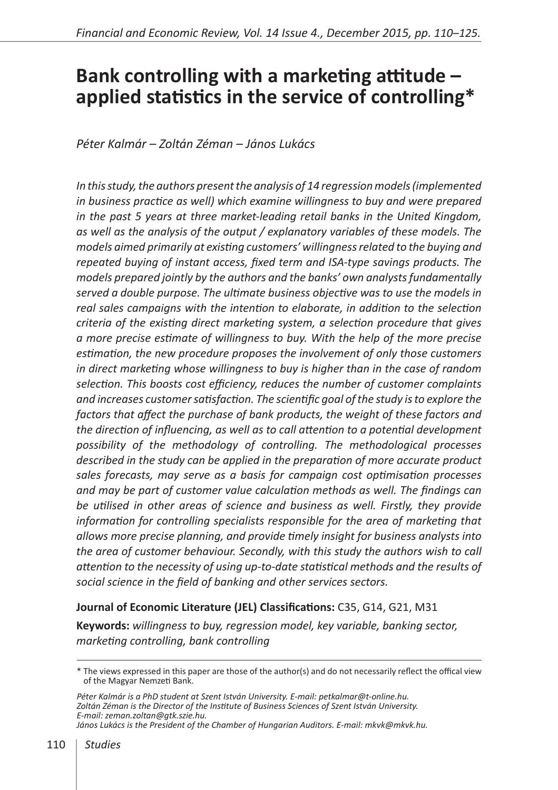# **Bank controlling with a marketing attitude – applied statistics in the service of controlling\***

*Péter Kalmár – Zoltán Zéman – János Lukács*

*In this study, the authors present the analysis of 14 regression models (implemented in business practice as well) which examine willingness to buy and were prepared in the past 5 years at three market-leading retail banks in the United Kingdom, as well as the analysis of the output / explanatory variables of these models. The models aimed primarily at existing customers' willingness related to the buying and repeated buying of instant access, fixed term and ISA-type savings products. The models prepared jointly by the authors and the banks' own analysts fundamentally served a double purpose. The ultimate business objective was to use the models in*  real sales campaigns with the intention to elaborate, in addition to the selection *criteria of the existing direct marketing system, a selection procedure that gives a more precise estimate of willingness to buy. With the help of the more precise estimation, the new procedure proposes the involvement of only those customers in direct marketing whose willingness to buy is higher than in the case of random selection. This boosts cost efficiency, reduces the number of customer complaints and increases customer satisfaction. The scientific goal of the study is to explore the factors that affect the purchase of bank products, the weight of these factors and the direction of influencing, as well as to call attention to a potential development possibility of the methodology of controlling. The methodological processes described in the study can be applied in the preparation of more accurate product sales forecasts, may serve as a basis for campaign cost optimisation processes and may be part of customer value calculation methods as well. The findings can be utilised in other areas of science and business as well. Firstly, they provide information for controlling specialists responsible for the area of marketing that allows more precise planning, and provide timely insight for business analysts into the area of customer behaviour. Secondly, with this study the authors wish to call attention to the necessity of using up-to-date statistical methods and the results of social science in the field of banking and other services sectors.*

**Journal of Economic Literature (JEL) Classifications:** C35, G14, G21, M31

**Keywords:** *willingness to buy, regression model, key variable, banking sector, marketing controlling, bank controlling*

<sup>\*</sup> The views expressed in this paper are those of the author(s) and do not necessarily reflect the offical view of the Magyar Nemzeti Bank.

*Péter Kalmár is a PhD student at Szent István University. E-mail: petkalmar@t-online.hu. Zoltán Zéman is the Director of the Institute of Business Sciences of Szent István University. E-mail: zeman.zoltan@gtk.szie.hu. János Lukács is the President of the Chamber of Hungarian Auditors. E-mail: mkvk@mkvk.hu.*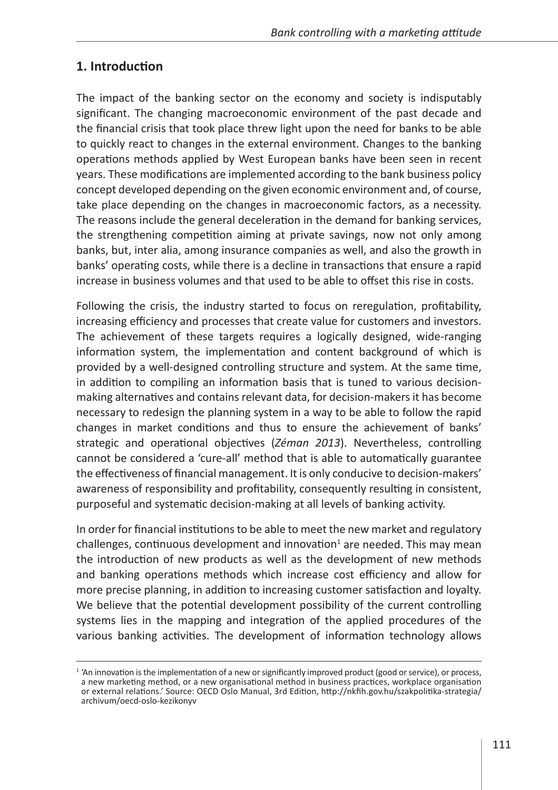## **1. Introduction**

The impact of the banking sector on the economy and society is indisputably significant. The changing macroeconomic environment of the past decade and the financial crisis that took place threw light upon the need for banks to be able to quickly react to changes in the external environment. Changes to the banking operations methods applied by West European banks have been seen in recent years. These modifications are implemented according to the bank business policy concept developed depending on the given economic environment and, of course, take place depending on the changes in macroeconomic factors, as a necessity. The reasons include the general deceleration in the demand for banking services, the strengthening competition aiming at private savings, now not only among banks, but, inter alia, among insurance companies as well, and also the growth in banks' operating costs, while there is a decline in transactions that ensure a rapid increase in business volumes and that used to be able to offset this rise in costs.

Following the crisis, the industry started to focus on reregulation, profitability, increasing efficiency and processes that create value for customers and investors. The achievement of these targets requires a logically designed, wide-ranging information system, the implementation and content background of which is provided by a well-designed controlling structure and system. At the same time, in addition to compiling an information basis that is tuned to various decisionmaking alternatives and contains relevant data, for decision-makers it has become necessary to redesign the planning system in a way to be able to follow the rapid changes in market conditions and thus to ensure the achievement of banks' strategic and operational objectives (*Zéman 2013*). Nevertheless, controlling cannot be considered a 'cure-all' method that is able to automatically guarantee the effectiveness of financial management. It is only conducive to decision-makers' awareness of responsibility and profitability, consequently resulting in consistent, purposeful and systematic decision-making at all levels of banking activity.

In order for financial institutions to be able to meet the new market and regulatory challenges, continuous development and innovation<sup>1</sup> are needed. This may mean the introduction of new products as well as the development of new methods and banking operations methods which increase cost efficiency and allow for more precise planning, in addition to increasing customer satisfaction and loyalty. We believe that the potential development possibility of the current controlling systems lies in the mapping and integration of the applied procedures of the various banking activities. The development of information technology allows

<sup>&</sup>lt;sup>1</sup> 'An innovation is the implementation of a new or significantly improved product (good or service), or process, a new marketing method, or a new organisational method in business practices, workplace organisation or external relations.' Source: OECD Oslo Manual, 3rd Edition, http://nkfih.gov.hu/szakpolitika-strategia/ archivum/oecd-oslo-kezikonyv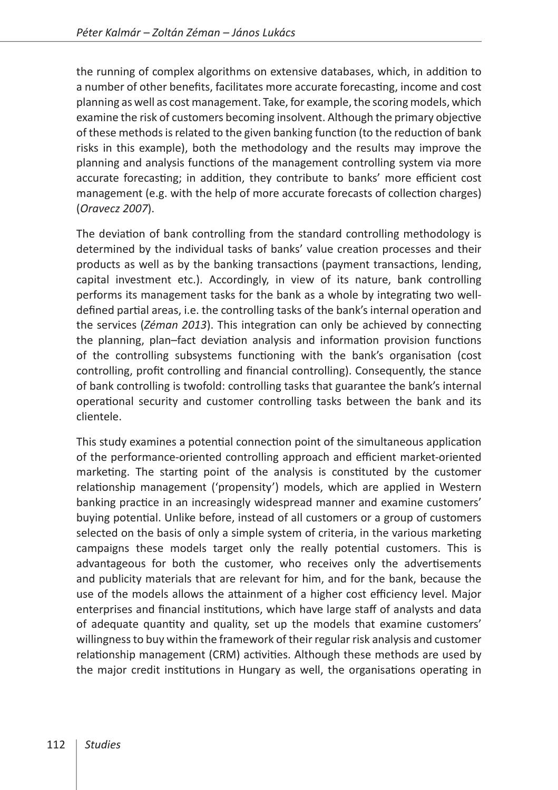the running of complex algorithms on extensive databases, which, in addition to a number of other benefits, facilitates more accurate forecasting, income and cost planning as well as cost management. Take, for example, the scoring models, which examine the risk of customers becoming insolvent. Although the primary objective of these methods is related to the given banking function (to the reduction of bank risks in this example), both the methodology and the results may improve the planning and analysis functions of the management controlling system via more accurate forecasting; in addition, they contribute to banks' more efficient cost management (e.g. with the help of more accurate forecasts of collection charges) (*Oravecz 2007*).

The deviation of bank controlling from the standard controlling methodology is determined by the individual tasks of banks' value creation processes and their products as well as by the banking transactions (payment transactions, lending, capital investment etc.). Accordingly, in view of its nature, bank controlling performs its management tasks for the bank as a whole by integrating two welldefined partial areas, i.e. the controlling tasks of the bank's internal operation and the services (*Zéman 2013*). This integration can only be achieved by connecting the planning, plan–fact deviation analysis and information provision functions of the controlling subsystems functioning with the bank's organisation (cost controlling, profit controlling and financial controlling). Consequently, the stance of bank controlling is twofold: controlling tasks that guarantee the bank's internal operational security and customer controlling tasks between the bank and its clientele.

This study examines a potential connection point of the simultaneous application of the performance-oriented controlling approach and efficient market-oriented marketing. The starting point of the analysis is constituted by the customer relationship management ('propensity') models, which are applied in Western banking practice in an increasingly widespread manner and examine customers' buying potential. Unlike before, instead of all customers or a group of customers selected on the basis of only a simple system of criteria, in the various marketing campaigns these models target only the really potential customers. This is advantageous for both the customer, who receives only the advertisements and publicity materials that are relevant for him, and for the bank, because the use of the models allows the attainment of a higher cost efficiency level. Major enterprises and financial institutions, which have large staff of analysts and data of adequate quantity and quality, set up the models that examine customers' willingness to buy within the framework of their regular risk analysis and customer relationship management (CRM) activities. Although these methods are used by the major credit institutions in Hungary as well, the organisations operating in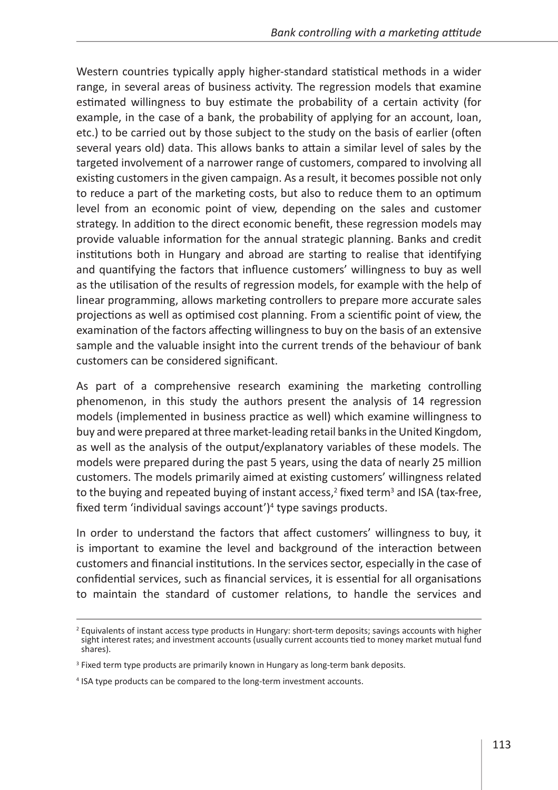Western countries typically apply higher-standard statistical methods in a wider range, in several areas of business activity. The regression models that examine estimated willingness to buy estimate the probability of a certain activity (for example, in the case of a bank, the probability of applying for an account, loan, etc.) to be carried out by those subject to the study on the basis of earlier (often several years old) data. This allows banks to attain a similar level of sales by the targeted involvement of a narrower range of customers, compared to involving all existing customers in the given campaign. As a result, it becomes possible not only to reduce a part of the marketing costs, but also to reduce them to an optimum level from an economic point of view, depending on the sales and customer strategy. In addition to the direct economic benefit, these regression models may provide valuable information for the annual strategic planning. Banks and credit institutions both in Hungary and abroad are starting to realise that identifying and quantifying the factors that influence customers' willingness to buy as well as the utilisation of the results of regression models, for example with the help of linear programming, allows marketing controllers to prepare more accurate sales projections as well as optimised cost planning. From a scientific point of view, the examination of the factors affecting willingness to buy on the basis of an extensive sample and the valuable insight into the current trends of the behaviour of bank customers can be considered significant.

As part of a comprehensive research examining the marketing controlling phenomenon, in this study the authors present the analysis of 14 regression models (implemented in business practice as well) which examine willingness to buy and were prepared at three market-leading retail banks in the United Kingdom, as well as the analysis of the output/explanatory variables of these models. The models were prepared during the past 5 years, using the data of nearly 25 million customers. The models primarily aimed at existing customers' willingness related to the buying and repeated buying of instant access,<sup>2</sup> fixed term<sup>3</sup> and ISA (tax-free, fixed term 'individual savings account')<sup>4</sup> type savings products.

In order to understand the factors that affect customers' willingness to buy, it is important to examine the level and background of the interaction between customers and financial institutions. In the services sector, especially in the case of confidential services, such as financial services, it is essential for all organisations to maintain the standard of customer relations, to handle the services and

<sup>&</sup>lt;sup>2</sup> Equivalents of instant access type products in Hungary: short-term deposits; savings accounts with higher sight interest rates; and investment accounts (usually current accounts tied to money market mutual fund shares).

<sup>&</sup>lt;sup>3</sup> Fixed term type products are primarily known in Hungary as long-term bank deposits.

<sup>4</sup> ISA type products can be compared to the long-term investment accounts.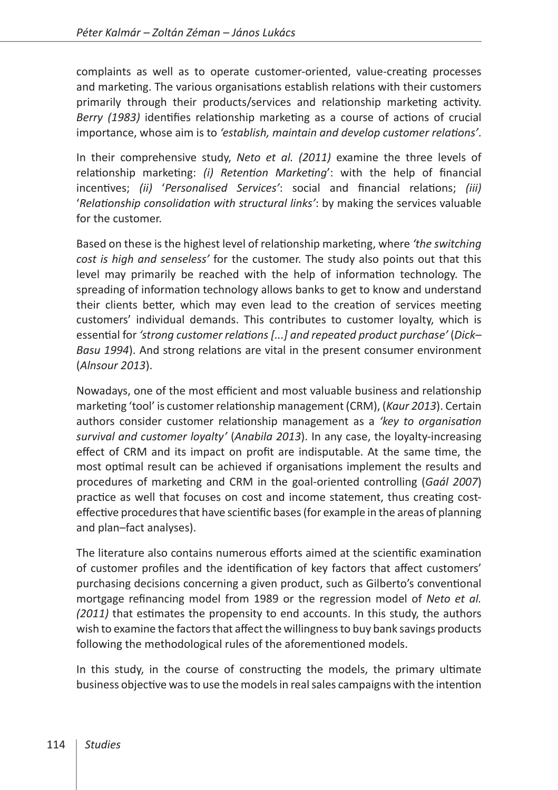complaints as well as to operate customer-oriented, value-creating processes and marketing. The various organisations establish relations with their customers primarily through their products/services and relationship marketing activity. *Berry (1983)* identifies relationship marketing as a course of actions of crucial importance, whose aim is to *'establish, maintain and develop customer relations'*.

In their comprehensive study, *Neto et al. (2011)* examine the three levels of relationship marketing: *(i) Retention Marketing*': with the help of financial incentives; *(ii)* '*Personalised Services'*: social and financial relations; *(iii)* '*Relationship consolidation with structural links'*: by making the services valuable for the customer.

Based on these is the highest level of relationship marketing, where *'the switching cost is high and senseless'* for the customer. The study also points out that this level may primarily be reached with the help of information technology. The spreading of information technology allows banks to get to know and understand their clients better, which may even lead to the creation of services meeting customers' individual demands. This contributes to customer loyalty, which is essential for *'strong customer relations [...] and repeated product purchase'* (*Dick– Basu 1994*). And strong relations are vital in the present consumer environment (*Alnsour 2013*).

Nowadays, one of the most efficient and most valuable business and relationship marketing 'tool' is customer relationship management (CRM), (*Kaur 2013*). Certain authors consider customer relationship management as a *'key to organisation survival and customer loyalty'* (*Anabila 2013*). In any case, the loyalty-increasing effect of CRM and its impact on profit are indisputable. At the same time, the most optimal result can be achieved if organisations implement the results and procedures of marketing and CRM in the goal-oriented controlling (*Gaál 2007*) practice as well that focuses on cost and income statement, thus creating costeffective procedures that have scientific bases (for example in the areas of planning and plan–fact analyses).

The literature also contains numerous efforts aimed at the scientific examination of customer profiles and the identification of key factors that affect customers' purchasing decisions concerning a given product, such as Gilberto's conventional mortgage refinancing model from 1989 or the regression model of *Neto et al. (2011)* that estimates the propensity to end accounts. In this study, the authors wish to examine the factors that affect the willingness to buy bank savings products following the methodological rules of the aforementioned models.

In this study, in the course of constructing the models, the primary ultimate business objective was to use the models in real sales campaigns with the intention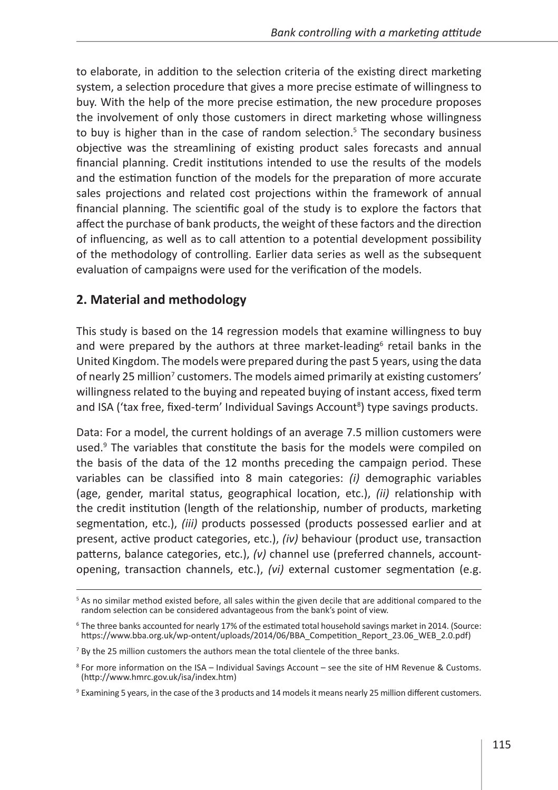to elaborate, in addition to the selection criteria of the existing direct marketing system, a selection procedure that gives a more precise estimate of willingness to buy. With the help of the more precise estimation, the new procedure proposes the involvement of only those customers in direct marketing whose willingness to buy is higher than in the case of random selection.<sup>5</sup> The secondary business objective was the streamlining of existing product sales forecasts and annual financial planning. Credit institutions intended to use the results of the models and the estimation function of the models for the preparation of more accurate sales projections and related cost projections within the framework of annual financial planning. The scientific goal of the study is to explore the factors that affect the purchase of bank products, the weight of these factors and the direction of influencing, as well as to call attention to a potential development possibility of the methodology of controlling. Earlier data series as well as the subsequent evaluation of campaigns were used for the verification of the models.

#### **2. Material and methodology**

This study is based on the 14 regression models that examine willingness to buy and were prepared by the authors at three market-leading<sup>6</sup> retail banks in the United Kingdom. The models were prepared during the past 5 years, using the data of nearly 25 million<sup>7</sup> customers. The models aimed primarily at existing customers' willingness related to the buying and repeated buying of instant access, fixed term and ISA ('tax free, fixed-term' Individual Savings Account<sup>8</sup>) type savings products.

Data: For a model, the current holdings of an average 7.5 million customers were used.<sup>9</sup> The variables that constitute the basis for the models were compiled on the basis of the data of the 12 months preceding the campaign period. These variables can be classified into 8 main categories: *(i)* demographic variables (age, gender, marital status, geographical location, etc.), *(ii)* relationship with the credit institution (length of the relationship, number of products, marketing segmentation, etc.), *(iii)* products possessed (products possessed earlier and at present, active product categories, etc.), *(iv)* behaviour (product use, transaction patterns, balance categories, etc.), *(v)* channel use (preferred channels, accountopening, transaction channels, etc.), *(vi)* external customer segmentation (e.g.

<sup>&</sup>lt;sup>5</sup> As no similar method existed before, all sales within the given decile that are additional compared to the random selection can be considered advantageous from the bank's point of view.

<sup>&</sup>lt;sup>6</sup> The three banks accounted for nearly 17% of the estimated total household savings market in 2014. (Source: https://www.bba.org.uk/wp-ontent/uploads/2014/06/BBA\_Competition\_Report\_23.06\_WEB\_2.0.pdf)

 $<sup>7</sup>$  By the 25 million customers the authors mean the total clientele of the three banks.</sup>

<sup>8</sup> For more information on the ISA – Individual Savings Account – see the site of HM Revenue & Customs. (<http://www.hmrc.gov.uk/isa/index.htm>)

 $9$  Examining 5 years, in the case of the 3 products and 14 models it means nearly 25 million different customers.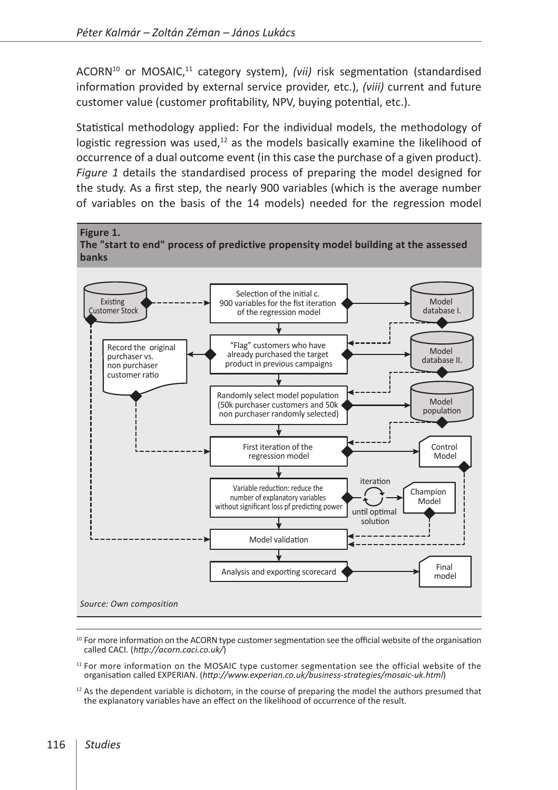ACORN<sup>10</sup> or MOSAIC,<sup>11</sup> category system), *(vii)* risk segmentation (standardised information provided by external service provider, etc.), *(viii)* current and future customer value (customer profitability, NPV, buying potential, etc.).

Statistical methodology applied: For the individual models, the methodology of logistic regression was used, $12$  as the models basically examine the likelihood of occurrence of a dual outcome event (in this case the purchase of a given product). *Figure 1* details the standardised process of preparing the model designed for the study. As a first step, the nearly 900 variables (which is the average number of variables on the basis of the 14 models) needed for the regression model



<sup>&</sup>lt;sup>10</sup> For more information on the ACORN type customer segmentation see the official website of the organisation called CACI. (*<http://acorn.caci.co.uk/>*)

 $11$  For more information on the MOSAIC type customer segmentation see the official website of the organisation called EXPERIAN. (*<http://www.experian.co.uk/business-strategies/mosaic-uk.html>*)

 $12$  As the dependent variable is dichotom, in the course of preparing the model the authors presumed that the explanatory variables have an effect on the likelihood of occurrence of the result.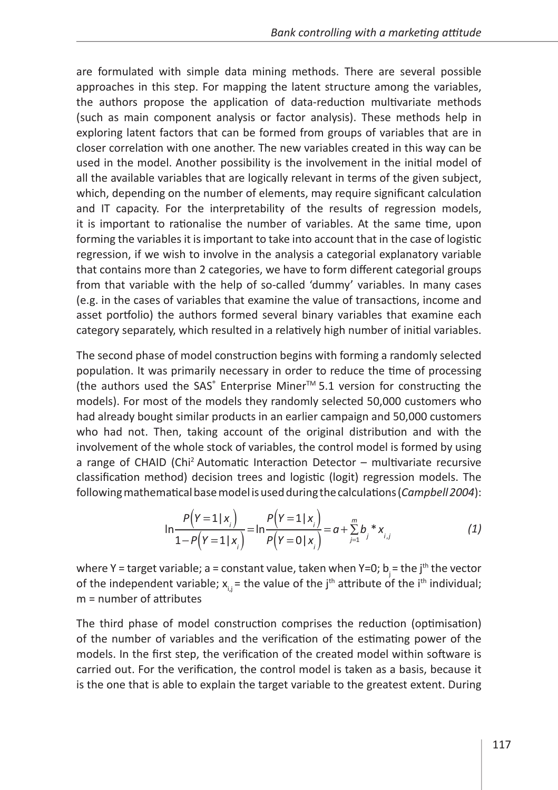are formulated with simple data mining methods. There are several possible approaches in this step. For mapping the latent structure among the variables, the authors propose the application of data-reduction multivariate methods (such as main component analysis or factor analysis). These methods help in exploring latent factors that can be formed from groups of variables that are in closer correlation with one another. The new variables created in this way can be used in the model. Another possibility is the involvement in the initial model of all the available variables that are logically relevant in terms of the given subject, which, depending on the number of elements, may require significant calculation and IT capacity. For the interpretability of the results of regression models, it is important to rationalise the number of variables. At the same time, upon forming the variables it is important to take into account that in the case of logistic regression, if we wish to involve in the analysis a categorial explanatory variable that contains more than 2 categories, we have to form different categorial groups from that variable with the help of so-called 'dummy' variables. In many cases (e.g. in the cases of variables that examine the value of transactions, income and asset portfolio) the authors formed several binary variables that examine each category separately, which resulted in a relatively high number of initial variables.

The second phase of model construction begins with forming a randomly selected population. It was primarily necessary in order to reduce the time of processing (the authors used the SAS<sup>®</sup> Enterprise Miner<sup>™</sup> 5.1 version for constructing the models). For most of the models they randomly selected 50,000 customers who had already bought similar products in an earlier campaign and 50,000 customers who had not. Then, taking account of the original distribution and with the involvement of the whole stock of variables, the control model is formed by using a range of CHAID (Chi2 Automatic Interaction Detector – multivariate recursive classification method) decision trees and logistic (logit) regression models. The following mathematical base model is used during the calculations (*Campbell 2004*):

$$
\ln \frac{P(Y=1|x_i)}{1-P(Y=1|x_i)} = \ln \frac{P(Y=1|x_i)}{P(Y=0|x_i)} = a + \sum_{j=1}^{m} b_j * x_{i,j}
$$
(1)

where Y = target variable; a = constant value, taken when Y=0; b<sub>i</sub> = the j<sup>th</sup> the vector of the independent variable;  $x_{i,j}$  = the value of the j<sup>th</sup> attribute of the i<sup>th</sup> individual; m = number of attributes

The third phase of model construction comprises the reduction (optimisation) of the number of variables and the verification of the estimating power of the models. In the first step, the verification of the created model within software is carried out. For the verification, the control model is taken as a basis, because it is the one that is able to explain the target variable to the greatest extent. During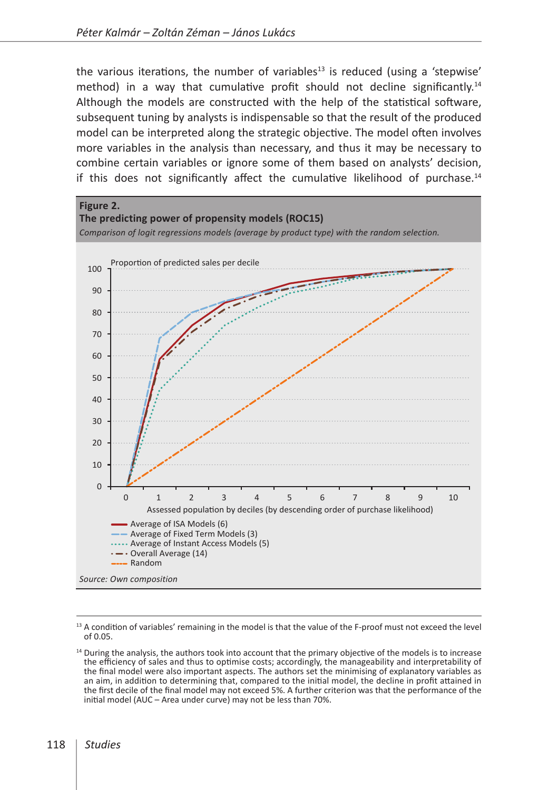the various iterations, the number of variables<sup>13</sup> is reduced (using a 'stepwise' method) in a way that cumulative profit should not decline significantly.14 Although the models are constructed with the help of the statistical software, subsequent tuning by analysts is indispensable so that the result of the produced model can be interpreted along the strategic objective. The model often involves more variables in the analysis than necessary, and thus it may be necessary to combine certain variables or ignore some of them based on analysts' decision, if this does not significantly affect the cumulative likelihood of purchase.<sup>14</sup>



<sup>&</sup>lt;sup>13</sup> A condition of variables' remaining in the model is that the value of the F-proof must not exceed the level of 0.05.

<sup>&</sup>lt;sup>14</sup> During the analysis, the authors took into account that the primary objective of the models is to increase the efficiency of sales and thus to optimise costs; accordingly, the manageability and interpretability of the final model were also important aspects. The authors set the minimising of explanatory variables as an aim, in addition to determining that, compared to the initial model, the decline in profit attained in the first decile of the final model may not exceed 5%. A further criterion was that the performance of the initial model (AUC – Area under curve) may not be less than 70%.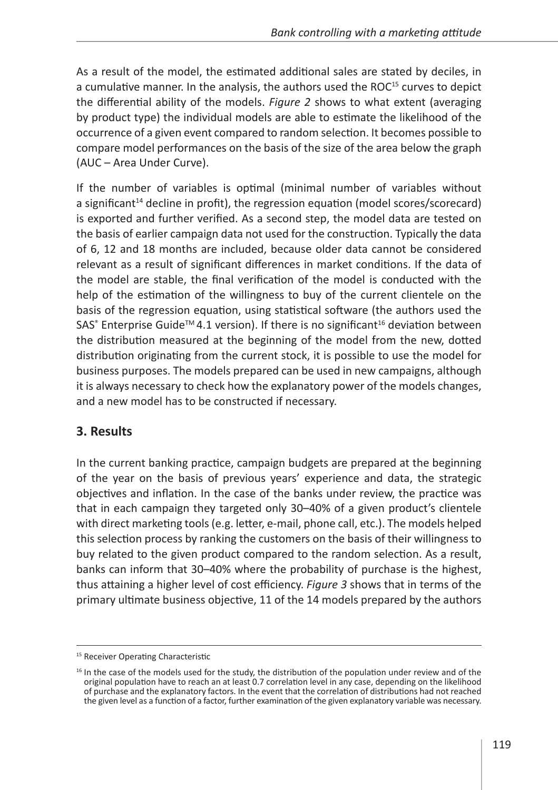As a result of the model, the estimated additional sales are stated by deciles, in a cumulative manner. In the analysis, the authors used the ROC<sup>15</sup> curves to depict the differential ability of the models. *Figure 2* shows to what extent (averaging by product type) the individual models are able to estimate the likelihood of the occurrence of a given event compared to random selection. It becomes possible to compare model performances on the basis of the size of the area below the graph (AUC – Area Under Curve).

If the number of variables is optimal (minimal number of variables without a significant<sup>14</sup> decline in profit), the regression equation (model scores/scorecard) is exported and further verified. As a second step, the model data are tested on the basis of earlier campaign data not used for the construction. Typically the data of 6, 12 and 18 months are included, because older data cannot be considered relevant as a result of significant differences in market conditions. If the data of the model are stable, the final verification of the model is conducted with the help of the estimation of the willingness to buy of the current clientele on the basis of the regression equation, using statistical software (the authors used the SAS $\degree$  Enterprise Guide<sup>™</sup> 4.1 version). If there is no significant<sup>16</sup> deviation between the distribution measured at the beginning of the model from the new, dotted distribution originating from the current stock, it is possible to use the model for business purposes. The models prepared can be used in new campaigns, although it is always necessary to check how the explanatory power of the models changes, and a new model has to be constructed if necessary.

### **3. Results**

In the current banking practice, campaign budgets are prepared at the beginning of the year on the basis of previous years' experience and data, the strategic objectives and inflation. In the case of the banks under review, the practice was that in each campaign they targeted only 30–40% of a given product's clientele with direct marketing tools (e.g. letter, e-mail, phone call, etc.). The models helped this selection process by ranking the customers on the basis of their willingness to buy related to the given product compared to the random selection. As a result, banks can inform that 30–40% where the probability of purchase is the highest, thus attaining a higher level of cost efficiency. *Figure 3* shows that in terms of the primary ultimate business objective, 11 of the 14 models prepared by the authors

<sup>&</sup>lt;sup>15</sup> Receiver Operating Characteristic

 $16$  In the case of the models used for the study, the distribution of the population under review and of the original population have to reach an at least 0.7 correlation level in any case, depending on the likelihood of purchase and the explanatory factors. In the event that the correlation of distributions had not reached the given level as a function of a factor, further examination of the given explanatory variable was necessary.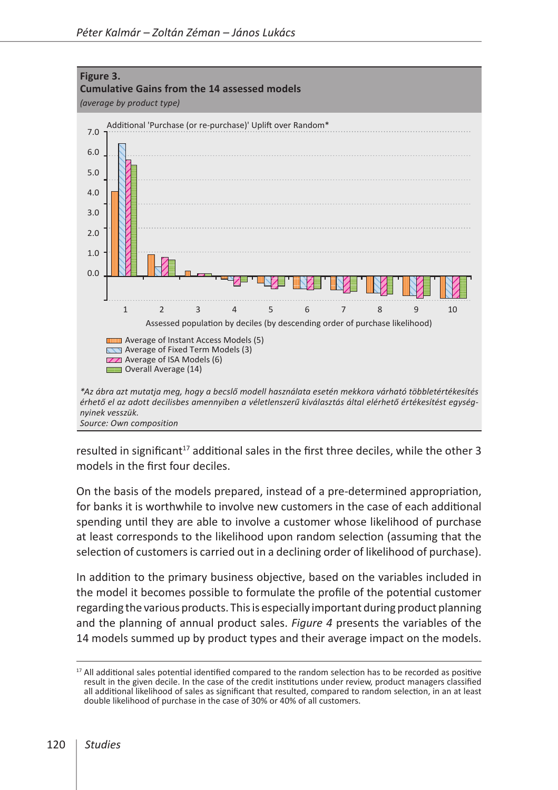

resulted in significant<sup>17</sup> additional sales in the first three deciles, while the other 3 models in the first four deciles.

On the basis of the models prepared, instead of a pre-determined appropriation, for banks it is worthwhile to involve new customers in the case of each additional spending until they are able to involve a customer whose likelihood of purchase at least corresponds to the likelihood upon random selection (assuming that the selection of customers is carried out in a declining order of likelihood of purchase).

In addition to the primary business objective, based on the variables included in the model it becomes possible to formulate the profile of the potential customer regarding the various products. This is especially important during product planning and the planning of annual product sales. *Figure 4* presents the variables of the 14 models summed up by product types and their average impact on the models.

<sup>&</sup>lt;sup>17</sup> All additional sales potential identified compared to the random selection has to be recorded as positive result in the given decile. In the case of the credit institutions under review, product managers classified all additional likelihood of sales as significant that resulted, compared to random selection, in an at least double likelihood of purchase in the case of 30% or 40% of all customers.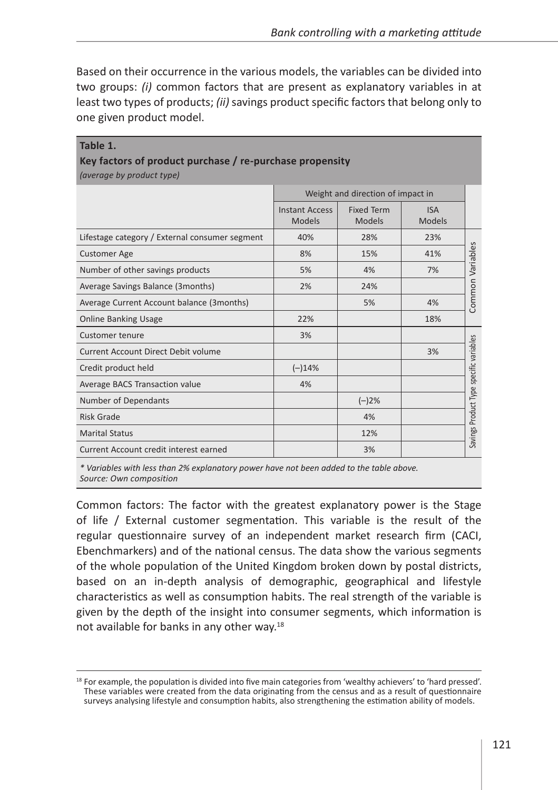Based on their occurrence in the various models, the variables can be divided into two groups: *(i)* common factors that are present as explanatory variables in at least two types of products; *(ii)* savings product specific factors that belong only to one given product model.

**Table 1.**

| Key factors of product purchase / re-purchase propensity<br>(average by product type) |                                        |                                    |                             |                                         |
|---------------------------------------------------------------------------------------|----------------------------------------|------------------------------------|-----------------------------|-----------------------------------------|
|                                                                                       | Weight and direction of impact in      |                                    |                             |                                         |
|                                                                                       | <b>Instant Access</b><br><b>Models</b> | <b>Fixed Term</b><br><b>Models</b> | <b>ISA</b><br><b>Models</b> |                                         |
| Lifestage category / External consumer segment                                        | 40%                                    | 28%                                | 23%                         | Common Variables                        |
| <b>Customer Age</b>                                                                   | 8%                                     | 15%                                | 41%                         |                                         |
| Number of other savings products                                                      | 5%                                     | 4%                                 | 7%                          |                                         |
| Average Savings Balance (3months)                                                     | 2%                                     | 24%                                |                             |                                         |
| Average Current Account balance (3months)                                             |                                        | 5%                                 | 4%                          |                                         |
| <b>Online Banking Usage</b>                                                           | 22%                                    |                                    | 18%                         |                                         |
| <b>Customer tenure</b>                                                                | 3%                                     |                                    |                             |                                         |
| Current Account Direct Debit volume                                                   |                                        |                                    | 3%                          | Savings Product Type specific variables |
| Credit product held                                                                   | $(-)14%$                               |                                    |                             |                                         |
| Average BACS Transaction value                                                        | 4%                                     |                                    |                             |                                         |
| Number of Dependants                                                                  |                                        | $(-)2%$                            |                             |                                         |
| Risk Grade                                                                            |                                        | 4%                                 |                             |                                         |
| <b>Marital Status</b>                                                                 |                                        | 12%                                |                             |                                         |
| Current Account credit interest earned                                                |                                        | 3%                                 |                             |                                         |

*\* Variables with less than 2% explanatory power have not been added to the table above. Source: Own composition*

Common factors: The factor with the greatest explanatory power is the Stage of life / External customer segmentation. This variable is the result of the regular questionnaire survey of an independent market research firm (CACI, Ebenchmarkers) and of the national census. The data show the various segments of the whole population of the United Kingdom broken down by postal districts, based on an in-depth analysis of demographic, geographical and lifestyle characteristics as well as consumption habits. The real strength of the variable is given by the depth of the insight into consumer segments, which information is not available for banks in any other way.<sup>18</sup>

 $18$  For example, the population is divided into five main categories from 'wealthy achievers' to 'hard pressed'. These variables were created from the data originating from the census and as a result of questionnaire surveys analysing lifestyle and consumption habits, also strengthening the estimation ability of models.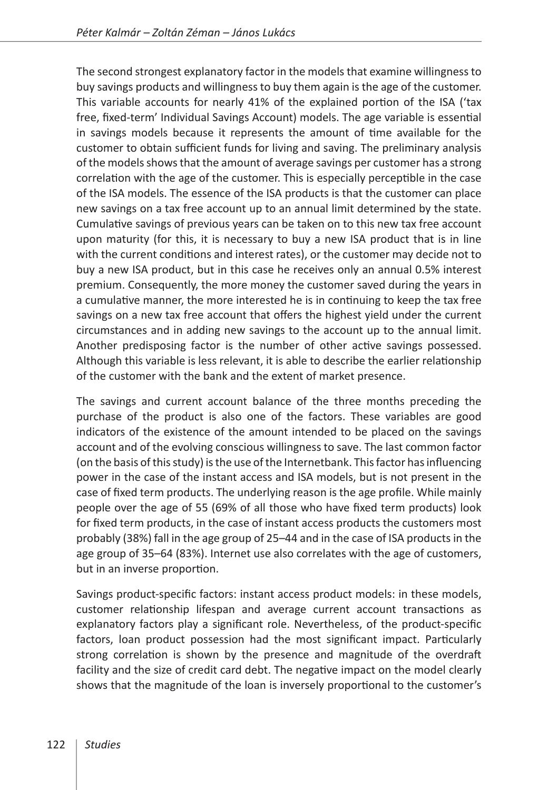The second strongest explanatory factor in the models that examine willingness to buy savings products and willingness to buy them again is the age of the customer. This variable accounts for nearly 41% of the explained portion of the ISA ('tax free, fixed-term' Individual Savings Account) models. The age variable is essential in savings models because it represents the amount of time available for the customer to obtain sufficient funds for living and saving. The preliminary analysis of the models shows that the amount of average savings per customer has a strong correlation with the age of the customer. This is especially perceptible in the case of the ISA models. The essence of the ISA products is that the customer can place new savings on a tax free account up to an annual limit determined by the state. Cumulative savings of previous years can be taken on to this new tax free account upon maturity (for this, it is necessary to buy a new ISA product that is in line with the current conditions and interest rates), or the customer may decide not to buy a new ISA product, but in this case he receives only an annual 0.5% interest premium. Consequently, the more money the customer saved during the years in a cumulative manner, the more interested he is in continuing to keep the tax free savings on a new tax free account that offers the highest yield under the current circumstances and in adding new savings to the account up to the annual limit. Another predisposing factor is the number of other active savings possessed. Although this variable is less relevant, it is able to describe the earlier relationship of the customer with the bank and the extent of market presence.

The savings and current account balance of the three months preceding the purchase of the product is also one of the factors. These variables are good indicators of the existence of the amount intended to be placed on the savings account and of the evolving conscious willingness to save. The last common factor (on the basis of this study) is the use of the Internetbank. This factor has influencing power in the case of the instant access and ISA models, but is not present in the case of fixed term products. The underlying reason is the age profile. While mainly people over the age of 55 (69% of all those who have fixed term products) look for fixed term products, in the case of instant access products the customers most probably (38%) fall in the age group of 25–44 and in the case of ISA products in the age group of 35–64 (83%). Internet use also correlates with the age of customers, but in an inverse proportion.

Savings product-specific factors: instant access product models: in these models, customer relationship lifespan and average current account transactions as explanatory factors play a significant role. Nevertheless, of the product-specific factors, loan product possession had the most significant impact. Particularly strong correlation is shown by the presence and magnitude of the overdraft facility and the size of credit card debt. The negative impact on the model clearly shows that the magnitude of the loan is inversely proportional to the customer's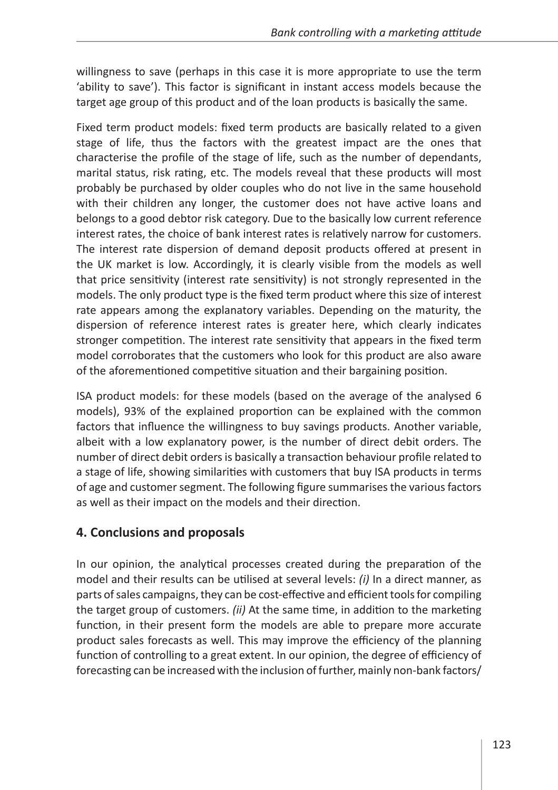willingness to save (perhaps in this case it is more appropriate to use the term 'ability to save'). This factor is significant in instant access models because the target age group of this product and of the loan products is basically the same.

Fixed term product models: fixed term products are basically related to a given stage of life, thus the factors with the greatest impact are the ones that characterise the profile of the stage of life, such as the number of dependants, marital status, risk rating, etc. The models reveal that these products will most probably be purchased by older couples who do not live in the same household with their children any longer, the customer does not have active loans and belongs to a good debtor risk category. Due to the basically low current reference interest rates, the choice of bank interest rates is relatively narrow for customers. The interest rate dispersion of demand deposit products offered at present in the UK market is low. Accordingly, it is clearly visible from the models as well that price sensitivity (interest rate sensitivity) is not strongly represented in the models. The only product type is the fixed term product where this size of interest rate appears among the explanatory variables. Depending on the maturity, the dispersion of reference interest rates is greater here, which clearly indicates stronger competition. The interest rate sensitivity that appears in the fixed term model corroborates that the customers who look for this product are also aware of the aforementioned competitive situation and their bargaining position.

ISA product models: for these models (based on the average of the analysed 6 models), 93% of the explained proportion can be explained with the common factors that influence the willingness to buy savings products. Another variable, albeit with a low explanatory power, is the number of direct debit orders. The number of direct debit orders is basically a transaction behaviour profile related to a stage of life, showing similarities with customers that buy ISA products in terms of age and customer segment. The following figure summarises the various factors as well as their impact on the models and their direction.

### **4. Conclusions and proposals**

In our opinion, the analytical processes created during the preparation of the model and their results can be utilised at several levels: *(i)* In a direct manner, as parts of sales campaigns, they can be cost-effective and efficient tools for compiling the target group of customers. *(ii)* At the same time, in addition to the marketing function, in their present form the models are able to prepare more accurate product sales forecasts as well. This may improve the efficiency of the planning function of controlling to a great extent. In our opinion, the degree of efficiency of forecasting can be increased with the inclusion of further, mainly non-bank factors/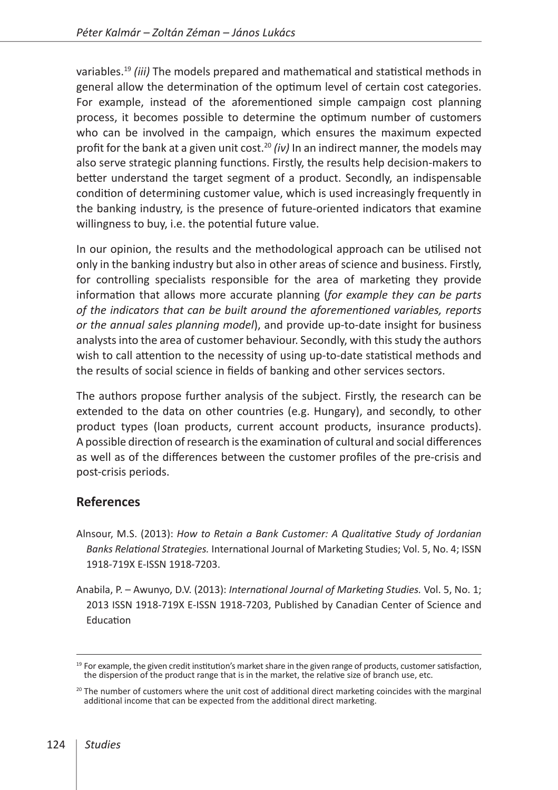variables.19 *(iii)* The models prepared and mathematical and statistical methods in general allow the determination of the optimum level of certain cost categories. For example, instead of the aforementioned simple campaign cost planning process, it becomes possible to determine the optimum number of customers who can be involved in the campaign, which ensures the maximum expected profit for the bank at a given unit cost.<sup>20</sup> *(iv)* In an indirect manner, the models may also serve strategic planning functions. Firstly, the results help decision-makers to better understand the target segment of a product. Secondly, an indispensable condition of determining customer value, which is used increasingly frequently in the banking industry, is the presence of future-oriented indicators that examine willingness to buy, i.e. the potential future value.

In our opinion, the results and the methodological approach can be utilised not only in the banking industry but also in other areas of science and business. Firstly, for controlling specialists responsible for the area of marketing they provide information that allows more accurate planning (*for example they can be parts of the indicators that can be built around the aforementioned variables, reports or the annual sales planning model*), and provide up-to-date insight for business analysts into the area of customer behaviour. Secondly, with this study the authors wish to call attention to the necessity of using up-to-date statistical methods and the results of social science in fields of banking and other services sectors.

The authors propose further analysis of the subject. Firstly, the research can be extended to the data on other countries (e.g. Hungary), and secondly, to other product types (loan products, current account products, insurance products). A possible direction of research is the examination of cultural and social differences as well as of the differences between the customer profiles of the pre-crisis and post-crisis periods.

#### **References**

- Alnsour, M.S. (2013): *How to Retain a Bank Customer: A Qualitative Study of Jordanian Banks Relational Strategies.* International Journal of Marketing Studies; Vol. 5, No. 4; ISSN 1918-719X E-ISSN 1918-7203.
- Anabila, P. Awunyo, D.V. (2013): *International Journal of Marketing Studies.* Vol. 5, No. 1; 2013 ISSN 1918-719X E-ISSN 1918-7203, Published by Canadian Center of Science and Education

 $19$  For example, the given credit institution's market share in the given range of products, customer satisfaction, the dispersion of the product range that is in the market, the relative size of branch use, etc.

 $20$  The number of customers where the unit cost of additional direct marketing coincides with the marginal additional income that can be expected from the additional direct marketing.